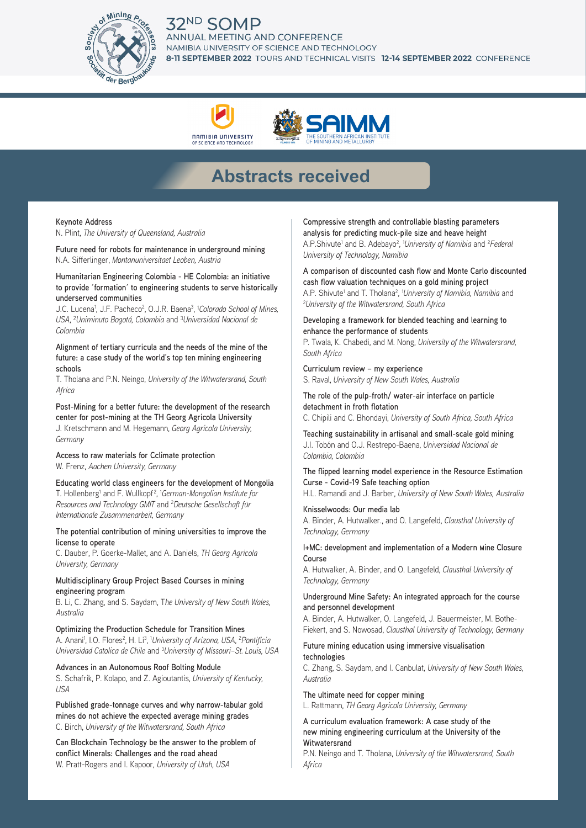# 32<sup>ND</sup> SOMP



# AL MEETING AND CONFERENCE NAMIBIA UNIVERSITY OF SCIENCE AND TECHNOLOGY 8-11 SEPTEMBER 2022 TOURS AND TECHNICAL VISITS 12-14 SEPTEMBER 2022 CONFERENCE





# **Abstracts received**

#### **Keynote Address**

N. Plint, *The University of Queensland, Australia* 

**Future need for robots for maintenance in underground mining** N.A. Sifferlinger, *Montanuniversitaet Leoben, Austria* 

### **Humanitarian Engineering Colombia - HE Colombia: an initiative to provide ´formation´ to engineering students to serve historically underserved communities**

J.C. Lucena<sup>1</sup>, J.F. Pacheco<sup>2</sup>, O.J.R. Baena<sup>3</sup>, 1*Colorado School of Mines, USA*, ²*Uniminuto Bogotá, Colombia* and ³*Universidad Nacional de Colombia*

**Alignment of tertiary curricula and the needs of the mine of the future: a case study of the world's top ten mining engineering schools**

T. Tholana and P.N. Neingo, *University of the Witwatersrand, South Africa* 

**Post-Mining for a better future: the development of the research center for post-mining at the TH Georg Agricola University** J. Kretschmann and M. Hegemann, *Georg Agricola University, Germany*

#### **Access to raw materials for Cclimate protection** W. Frenz, *Aachen University, Germany*

**Educating world class engineers for the development of Mongolia** T. Hollenberg<sup>1</sup> and F. Wullkopf<sup>2</sup>, <sup>1</sup>German-Mongolian Institute for *Resources and Technology GMIT* and 2 *Deutsche Gesellschaft für Internationale Zusammenarbeit, Germany*

#### **The potential contribution of mining universities to improve the license to operate**

C. Dauber, P. Goerke-Mallet, and A. Daniels, *TH Georg Agricola University, Germany*

### **Multidisciplinary Group Project Based Courses in mining engineering program**

B. Li, C. Zhang, and S. Saydam, T*he University of New South Wales, Australia*

**Optimizing the Production Schedule for Transition Mines** A. Anani<sup>1</sup>, I.O. Flores<sup>2</sup>, H. Li<sup>3</sup>, <sup>1</sup>University of Arizona, USA, <sup>2</sup>Pontificia *Universidad Catolica de Chile* and 3 *University of Missouri–St. Louis, USA*

#### **Advances in an Autonomous Roof Bolting Module** S. Schafrik, P. Kolapo, and Z. Agioutantis, *University of Kentucky,*

*USA*

**Published grade-tonnage curves and why narrow-tabular gold mines do not achieve the expected average mining grades** C. Birch, *University of the Witwatersrand, South Africa*

**Can Blockchain Technology be the answer to the problem of conflict Minerals: Challenges and the road ahead** W. Pratt-Rogers and I. Kapoor, *University of Utah, USA*

**Compressive strength and controllable blasting parameters analysis for predicting muck-pile size and heave height** A.P. Shivute<sup>1</sup> and B. Adebayo<sup>2</sup>, <sup>1</sup>University of Namibia and <sup>2</sup> Federal *University of Technology, Namibia*

**A comparison of discounted cash flow and Monte Carlo discounted cash flow valuation techniques on a gold mining project** A.P. Shivute<sup>1</sup> and T. Tholana<sup>2</sup>, *'University of Namibia, Namibia* and *21 Iniversity of the Witwatersrand South Africa University of the Witwatersrand, South Africa*

**Developing a framework for blended teaching and learning to enhance the performance of students**

P. Twala, K. Chabedi, and M. Nong, *University of the Witwatersrand, South Africa*

**Curriculum review – my experience** S. Raval, *University of New South Wales, Australia*

**The role of the pulp-froth/ water-air interface on particle detachment in froth flotation**

C. Chipili and C. Bhondayi, *University of South Africa, South Africa*

**Teaching sustainability in artisanal and small-scale gold mining** J.I. Tobón and O.J. Restrepo-Baena, *Universidad Nacional de Colombia, Colombia*

**The flipped learning model experience in the Resource Estimation Curse - Covid-19 Safe teaching option**

H.L. Ramandi and J. Barber, *University of New South Wales, Australia*

# **Knisselwoods: Our media lab**

A. Binder, A. Hutwalker., and O. Langefeld, *Clausthal University of Technology, Germany*

#### **I+MC: development and implementation of a Modern mine Closure Course**

A. Hutwalker, A. Binder, and O. Langefeld, *Clausthal University of Technology, Germany*

#### **Underground Mine Safety: An integrated approach for the course and personnel development**

A. Binder, A. Hutwalker, O. Langefeld, J. Bauermeister, M. Bothe-Fiekert, and S. Nowosad, *Clausthal University of Technology, Germany* 

## **Future mining education using immersive visualisation technologies**

C. Zhang, S. Saydam, and I. Canbulat, *University of New South Wales, Australia*

**The ultimate need for copper mining** L. Rattmann, *TH Georg Agricola University, Germany*

**A curriculum evaluation framework: A case study of the new mining engineering curriculum at the University of the Witwatersrand**

P.N. Neingo and T. Tholana, *University of the Witwatersrand, South Africa*